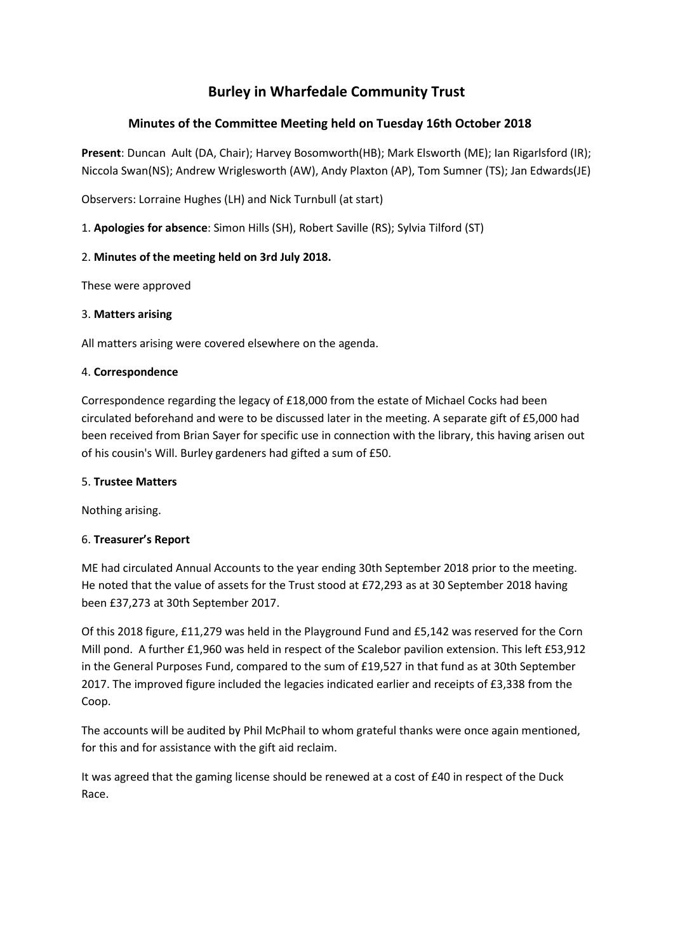# **Burley in Wharfedale Community Trust**

# **Minutes of the Committee Meeting held on Tuesday 16th October 2018**

**Present**: Duncan Ault (DA, Chair); Harvey Bosomworth(HB); Mark Elsworth (ME); Ian Rigarlsford (IR); Niccola Swan(NS); Andrew Wriglesworth (AW), Andy Plaxton (AP), Tom Sumner (TS); Jan Edwards(JE)

Observers: Lorraine Hughes (LH) and Nick Turnbull (at start)

1. **Apologies for absence**: Simon Hills (SH), Robert Saville (RS); Sylvia Tilford (ST)

# 2. **Minutes of the meeting held on 3rd July 2018.**

These were approved

#### 3. **Matters arising**

All matters arising were covered elsewhere on the agenda.

#### 4. **Correspondence**

Correspondence regarding the legacy of £18,000 from the estate of Michael Cocks had been circulated beforehand and were to be discussed later in the meeting. A separate gift of £5,000 had been received from Brian Sayer for specific use in connection with the library, this having arisen out of his cousin's Will. Burley gardeners had gifted a sum of £50.

### 5. **Trustee Matters**

Nothing arising.

# 6. **Treasurer's Report**

ME had circulated Annual Accounts to the year ending 30th September 2018 prior to the meeting. He noted that the value of assets for the Trust stood at £72,293 as at 30 September 2018 having been £37,273 at 30th September 2017.

Of this 2018 figure, £11,279 was held in the Playground Fund and £5,142 was reserved for the Corn Mill pond. A further £1,960 was held in respect of the Scalebor pavilion extension. This left £53,912 in the General Purposes Fund, compared to the sum of £19,527 in that fund as at 30th September 2017. The improved figure included the legacies indicated earlier and receipts of £3,338 from the Coop.

The accounts will be audited by Phil McPhail to whom grateful thanks were once again mentioned, for this and for assistance with the gift aid reclaim.

It was agreed that the gaming license should be renewed at a cost of £40 in respect of the Duck Race.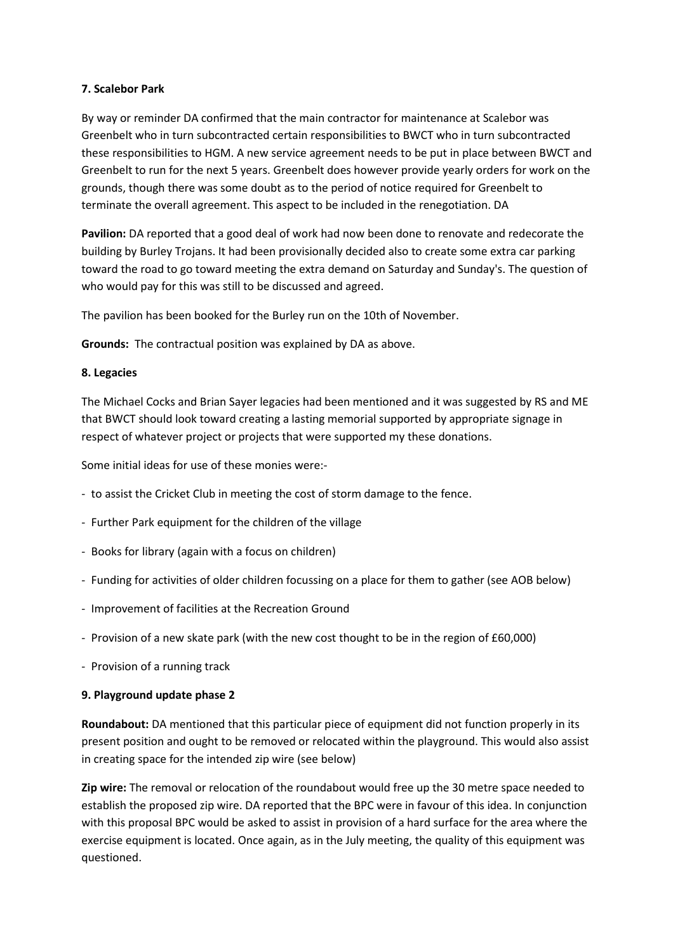#### **7. Scalebor Park**

By way or reminder DA confirmed that the main contractor for maintenance at Scalebor was Greenbelt who in turn subcontracted certain responsibilities to BWCT who in turn subcontracted these responsibilities to HGM. A new service agreement needs to be put in place between BWCT and Greenbelt to run for the next 5 years. Greenbelt does however provide yearly orders for work on the grounds, though there was some doubt as to the period of notice required for Greenbelt to terminate the overall agreement. This aspect to be included in the renegotiation. DA

**Pavilion:** DA reported that a good deal of work had now been done to renovate and redecorate the building by Burley Trojans. It had been provisionally decided also to create some extra car parking toward the road to go toward meeting the extra demand on Saturday and Sunday's. The question of who would pay for this was still to be discussed and agreed.

The pavilion has been booked for the Burley run on the 10th of November.

**Grounds:** The contractual position was explained by DA as above.

#### **8. Legacies**

The Michael Cocks and Brian Sayer legacies had been mentioned and it was suggested by RS and ME that BWCT should look toward creating a lasting memorial supported by appropriate signage in respect of whatever project or projects that were supported my these donations.

Some initial ideas for use of these monies were:-

- to assist the Cricket Club in meeting the cost of storm damage to the fence.
- Further Park equipment for the children of the village
- Books for library (again with a focus on children)
- Funding for activities of older children focussing on a place for them to gather (see AOB below)
- Improvement of facilities at the Recreation Ground
- Provision of a new skate park (with the new cost thought to be in the region of £60,000)
- Provision of a running track

#### **9. Playground update phase 2**

**Roundabout:** DA mentioned that this particular piece of equipment did not function properly in its present position and ought to be removed or relocated within the playground. This would also assist in creating space for the intended zip wire (see below)

**Zip wire:** The removal or relocation of the roundabout would free up the 30 metre space needed to establish the proposed zip wire. DA reported that the BPC were in favour of this idea. In conjunction with this proposal BPC would be asked to assist in provision of a hard surface for the area where the exercise equipment is located. Once again, as in the July meeting, the quality of this equipment was questioned.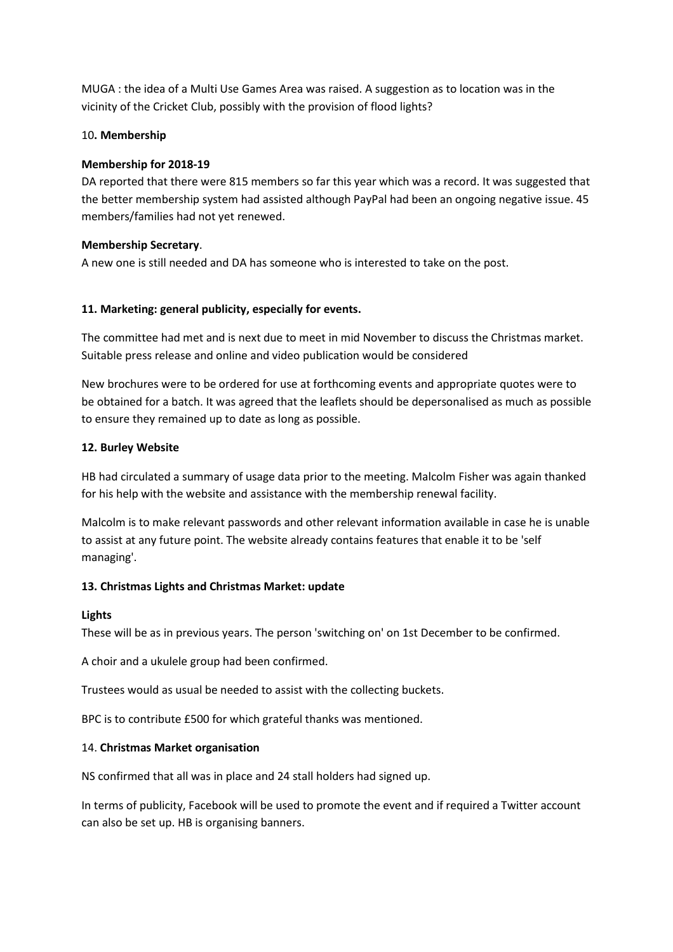MUGA : the idea of a Multi Use Games Area was raised. A suggestion as to location was in the vicinity of the Cricket Club, possibly with the provision of flood lights?

#### 10**. Membership**

#### **Membership for 2018-19**

DA reported that there were 815 members so far this year which was a record. It was suggested that the better membership system had assisted although PayPal had been an ongoing negative issue. 45 members/families had not yet renewed.

#### **Membership Secretary**.

A new one is still needed and DA has someone who is interested to take on the post.

#### **11. Marketing: general publicity, especially for events.**

The committee had met and is next due to meet in mid November to discuss the Christmas market. Suitable press release and online and video publication would be considered

New brochures were to be ordered for use at forthcoming events and appropriate quotes were to be obtained for a batch. It was agreed that the leaflets should be depersonalised as much as possible to ensure they remained up to date as long as possible.

#### **12. Burley Website**

HB had circulated a summary of usage data prior to the meeting. Malcolm Fisher was again thanked for his help with the website and assistance with the membership renewal facility.

Malcolm is to make relevant passwords and other relevant information available in case he is unable to assist at any future point. The website already contains features that enable it to be 'self managing'.

#### **13. Christmas Lights and Christmas Market: update**

#### **Lights**

These will be as in previous years. The person 'switching on' on 1st December to be confirmed.

A choir and a ukulele group had been confirmed.

Trustees would as usual be needed to assist with the collecting buckets.

BPC is to contribute £500 for which grateful thanks was mentioned.

#### 14. **Christmas Market organisation**

NS confirmed that all was in place and 24 stall holders had signed up.

In terms of publicity, Facebook will be used to promote the event and if required a Twitter account can also be set up. HB is organising banners.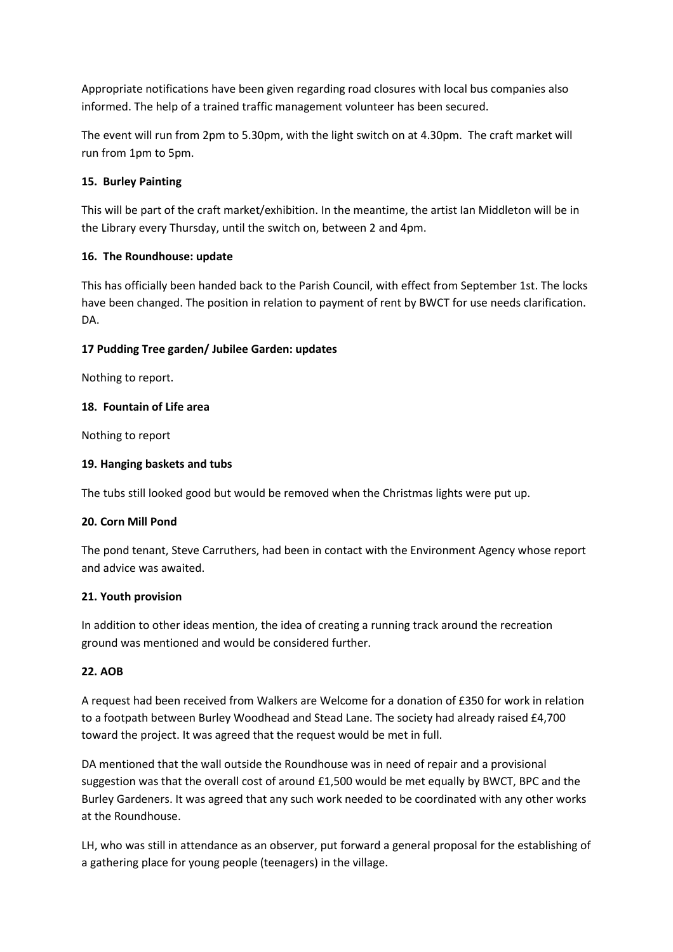Appropriate notifications have been given regarding road closures with local bus companies also informed. The help of a trained traffic management volunteer has been secured.

The event will run from 2pm to 5.30pm, with the light switch on at 4.30pm. The craft market will run from 1pm to 5pm.

# **15. Burley Painting**

This will be part of the craft market/exhibition. In the meantime, the artist Ian Middleton will be in the Library every Thursday, until the switch on, between 2 and 4pm.

# **16. The Roundhouse: update**

This has officially been handed back to the Parish Council, with effect from September 1st. The locks have been changed. The position in relation to payment of rent by BWCT for use needs clarification. DA.

# **17 Pudding Tree garden/ Jubilee Garden: updates**

Nothing to report.

# **18. Fountain of Life area**

Nothing to report

# **19. Hanging baskets and tubs**

The tubs still looked good but would be removed when the Christmas lights were put up.

# **20. Corn Mill Pond**

The pond tenant, Steve Carruthers, had been in contact with the Environment Agency whose report and advice was awaited.

# **21. Youth provision**

In addition to other ideas mention, the idea of creating a running track around the recreation ground was mentioned and would be considered further.

# **22. AOB**

A request had been received from Walkers are Welcome for a donation of £350 for work in relation to a footpath between Burley Woodhead and Stead Lane. The society had already raised £4,700 toward the project. It was agreed that the request would be met in full.

DA mentioned that the wall outside the Roundhouse was in need of repair and a provisional suggestion was that the overall cost of around £1,500 would be met equally by BWCT, BPC and the Burley Gardeners. It was agreed that any such work needed to be coordinated with any other works at the Roundhouse.

LH, who was still in attendance as an observer, put forward a general proposal for the establishing of a gathering place for young people (teenagers) in the village.